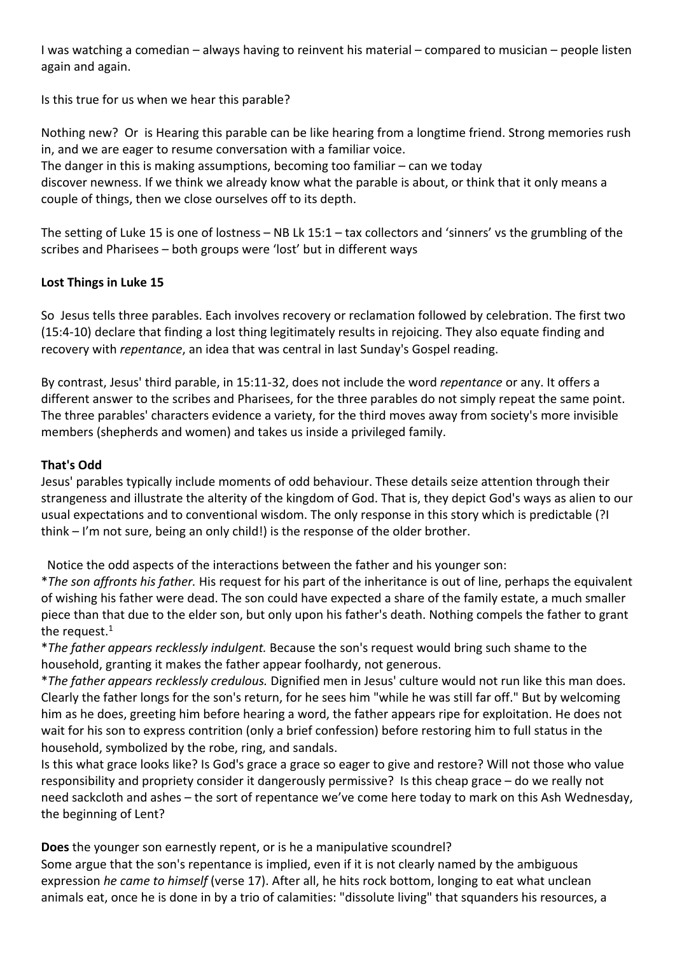I was watching a comedian – always having to reinvent his material – compared to musician – people listen again and again.

Is this true for us when we hear this parable?

Nothing new? Or is Hearing this parable can be like hearing from a longtime friend. Strong memories rush in, and we are eager to resume conversation with a familiar voice.

The danger in this is making assumptions, becoming too familiar  $-$  can we today

discover newness. If we think we already know what the parable is about, or think that it only means a couple of things, then we close ourselves off to its depth.

The setting of Luke 15 is one of lostness – NB Lk 15:1 – tax collectors and 'sinners' vs the grumbling of the scribes and Pharisees – both groups were 'lost' but in different ways

## **Lost Things in Luke 15**

So Jesus tells three parables. Each involves recovery or reclamation followed by celebration. The first two (15:4-10) declare that finding a lost thing legitimately results in rejoicing. They also equate finding and recovery with *repentance*, an idea that was central in last Sunday's Gospel reading.

By contrast, Jesus' third parable, in 15:11-32, does not include the word *repentance* or any. It offers a different answer to the scribes and Pharisees, for the three parables do not simply repeat the same point. The three parables' characters evidence a variety, for the third moves away from society's more invisible members (shepherds and women) and takes us inside a privileged family.

## **That's Odd**

Jesus' parables typically include moments of odd behaviour. These details seize attention through their strangeness and illustrate the alterity of the kingdom of God. That is, they depict God's ways as alien to our usual expectations and to conventional wisdom. The only response in this story which is predictable (?I think – I'm not sure, being an only child!) is the response of the older brother.

Notice the odd aspects of the interactions between the father and his younger son:

\**The son affronts his father.* His request for his part of the inheritance is out of line, perhaps the equivalent of wishing his father were dead. The son could have expected a share of the family estate, a much smaller piece than that due to the elder son, but only upon his father's death. Nothing compels the father to grant the request. $1$ 

\**The father appears recklessly indulgent.* Because the son's request would bring such shame to the household, granting it makes the father appear foolhardy, not generous.

\**The father appears recklessly credulous.* Dignified men in Jesus' culture would not run like this man does. Clearly the father longs for the son's return, for he sees him "while he was still far off." But by welcoming him as he does, greeting him before hearing a word, the father appears ripe for exploitation. He does not wait for his son to express contrition (only a brief confession) before restoring him to full status in the household, symbolized by the robe, ring, and sandals.

Is this what grace looks like? Is God's grace a grace so eager to give and restore? Will not those who value responsibility and propriety consider it dangerously permissive? Is this cheap grace – do we really not need sackcloth and ashes – the sort of repentance we've come here today to mark on this Ash Wednesday, the beginning of Lent?

**Does** the younger son earnestly repent, or is he a manipulative scoundrel?

Some argue that the son's repentance is implied, even if it is not clearly named by the ambiguous expression *he came to himself* (verse 17). After all, he hits rock bottom, longing to eat what unclean animals eat, once he is done in by a trio of calamities: "dissolute living" that squanders his resources, a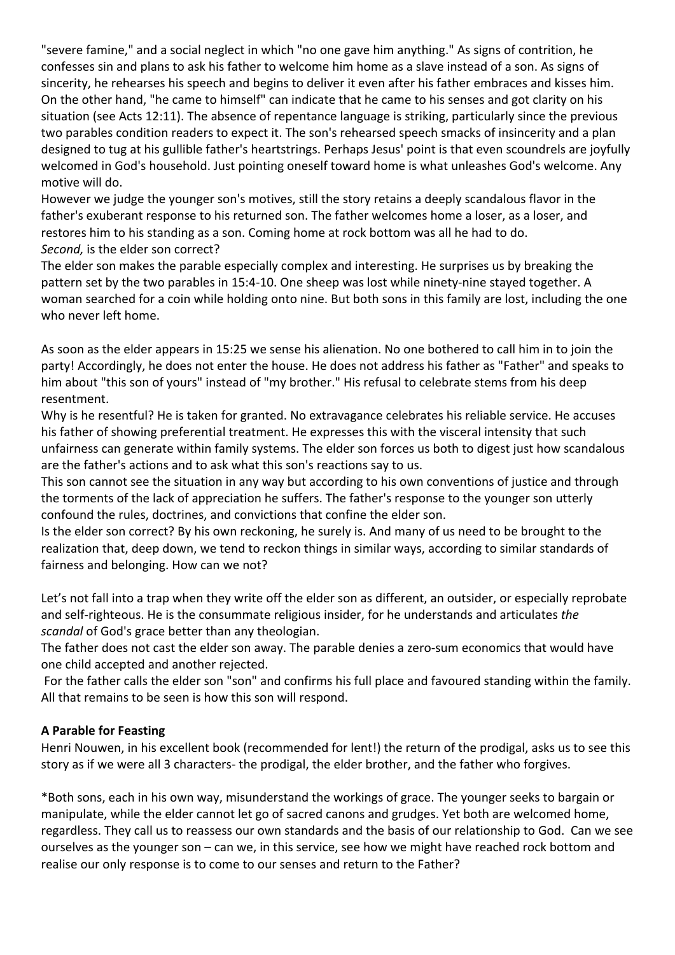"severe famine," and a social neglect in which "no one gave him anything." As signs of contrition, he confesses sin and plans to ask his father to welcome him home as a slave instead of a son. As signs of sincerity, he rehearses his speech and begins to deliver it even after his father embraces and kisses him. On the other hand, "he came to himself" can indicate that he came to his senses and got clarity on his situation (see Acts 12:11). The absence of repentance language is striking, particularly since the previous two parables condition readers to expect it. The son's rehearsed speech smacks of insincerity and a plan designed to tug at his gullible father's heartstrings. Perhaps Jesus' point is that even scoundrels are joyfully welcomed in God's household. Just pointing oneself toward home is what unleashes God's welcome. Any motive will do.

However we judge the younger son's motives, still the story retains a deeply scandalous flavor in the father's exuberant response to his returned son. The father welcomes home a loser, as a loser, and restores him to his standing as a son. Coming home at rock bottom was all he had to do. *Second,* is the elder son correct?

The elder son makes the parable especially complex and interesting. He surprises us by breaking the pattern set by the two parables in 15:4-10. One sheep was lost while ninety-nine stayed together. A woman searched for a coin while holding onto nine. But both sons in this family are lost, including the one who never left home.

As soon as the elder appears in 15:25 we sense his alienation. No one bothered to call him in to join the party! Accordingly, he does not enter the house. He does not address his father as "Father" and speaks to him about "this son of yours" instead of "my brother." His refusal to celebrate stems from his deep resentment.

Why is he resentful? He is taken for granted. No extravagance celebrates his reliable service. He accuses his father of showing preferential treatment. He expresses this with the visceral intensity that such unfairness can generate within family systems. The elder son forces us both to digest just how scandalous are the father's actions and to ask what this son's reactions say to us.

This son cannot see the situation in any way but according to his own conventions of justice and through the torments of the lack of appreciation he suffers. The father's response to the younger son utterly confound the rules, doctrines, and convictions that confine the elder son.

Is the elder son correct? By his own reckoning, he surely is. And many of us need to be brought to the realization that, deep down, we tend to reckon things in similar ways, according to similar standards of fairness and belonging. How can we not?

Let's not fall into a trap when they write off the elder son as different, an outsider, or especially reprobate and self-righteous. He is the consummate religious insider, for he understands and articulates *the scandal* of God's grace better than any theologian.

The father does not cast the elder son away. The parable denies a zero-sum economics that would have one child accepted and another rejected.

For the father calls the elder son "son" and confirms his full place and favoured standing within the family. All that remains to be seen is how this son will respond.

## **A Parable for Feasting**

Henri Nouwen, in his excellent book (recommended for lent!) the return of the prodigal, asks us to see this story as if we were all 3 characters- the prodigal, the elder brother, and the father who forgives.

\*Both sons, each in his own way, misunderstand the workings of grace. The younger seeks to bargain or manipulate, while the elder cannot let go of sacred canons and grudges. Yet both are welcomed home, regardless. They call us to reassess our own standards and the basis of our relationship to God. Can we see ourselves as the younger son – can we, in this service, see how we might have reached rock bottom and realise our only response is to come to our senses and return to the Father?